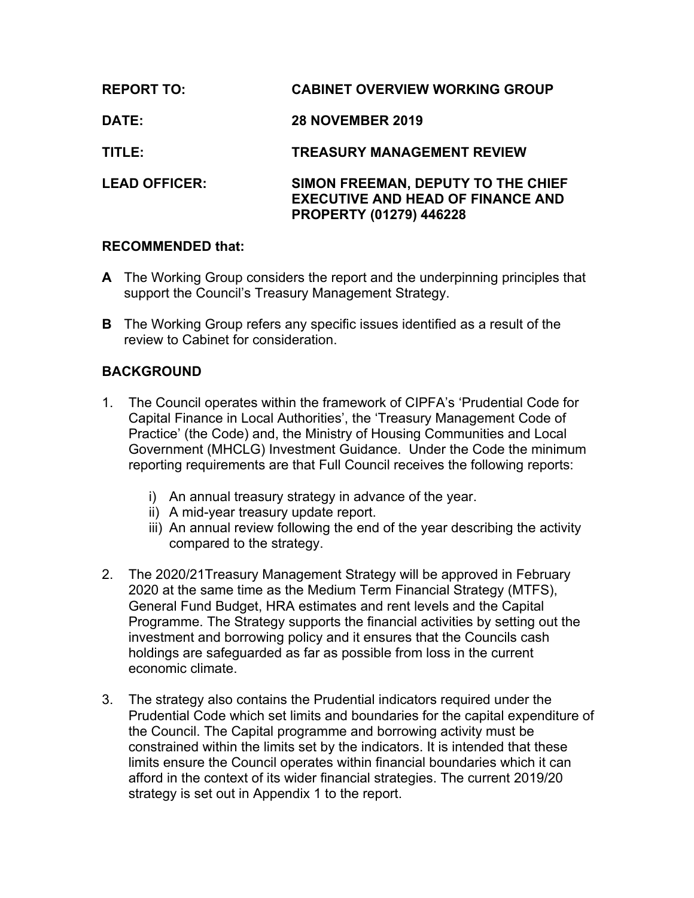| <b>REPORT TO:</b>    | <b>CABINET OVERVIEW WORKING GROUP</b>                                                                     |
|----------------------|-----------------------------------------------------------------------------------------------------------|
| <b>DATE:</b>         | <b>28 NOVEMBER 2019</b>                                                                                   |
| TITLE:               | <b>TREASURY MANAGEMENT REVIEW</b>                                                                         |
| <b>LEAD OFFICER:</b> | SIMON FREEMAN, DEPUTY TO THE CHIEF<br><b>EXECUTIVE AND HEAD OF FINANCE AND</b><br>PROPERTY (01279) 446228 |

#### **RECOMMENDED that:**

- **A** The Working Group considers the report and the underpinning principles that support the Council's Treasury Management Strategy.
- **B** The Working Group refers any specific issues identified as a result of the review to Cabinet for consideration.

# **BACKGROUND**

- 1. The Council operates within the framework of CIPFA's 'Prudential Code for Capital Finance in Local Authorities', the 'Treasury Management Code of Practice' (the Code) and, the Ministry of Housing Communities and Local Government (MHCLG) Investment Guidance. Under the Code the minimum reporting requirements are that Full Council receives the following reports:
	- i) An annual treasury strategy in advance of the year.
	- ii) A mid-year treasury update report.
	- iii) An annual review following the end of the year describing the activity compared to the strategy.
- 2. The 2020/21Treasury Management Strategy will be approved in February 2020 at the same time as the Medium Term Financial Strategy (MTFS), General Fund Budget, HRA estimates and rent levels and the Capital Programme. The Strategy supports the financial activities by setting out the investment and borrowing policy and it ensures that the Councils cash holdings are safeguarded as far as possible from loss in the current economic climate.
- 3. The strategy also contains the Prudential indicators required under the Prudential Code which set limits and boundaries for the capital expenditure of the Council. The Capital programme and borrowing activity must be constrained within the limits set by the indicators. It is intended that these limits ensure the Council operates within financial boundaries which it can afford in the context of its wider financial strategies. The current 2019/20 strategy is set out in Appendix 1 to the report.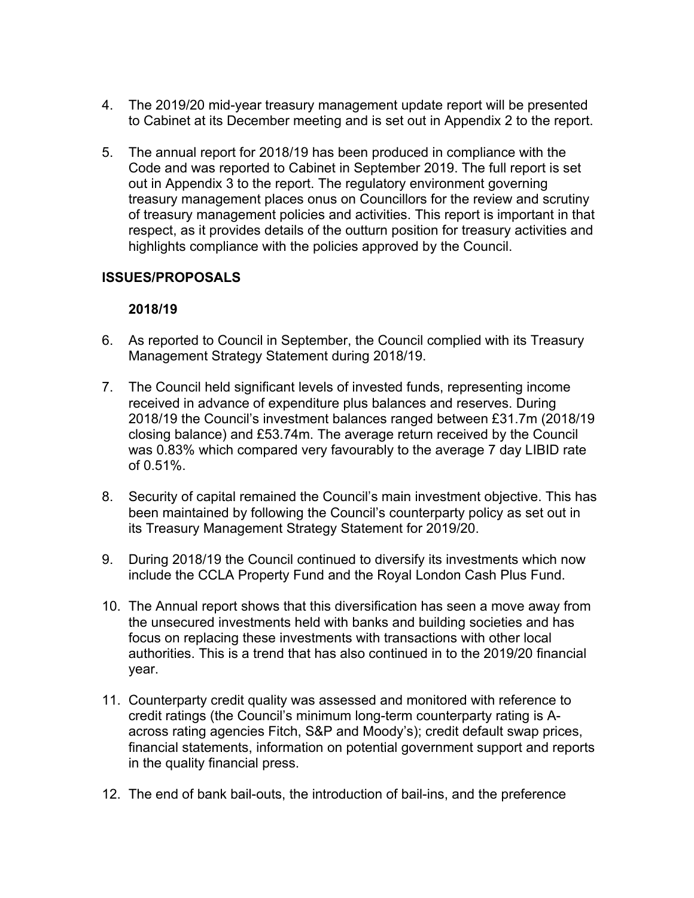- 4. The 2019/20 mid-year treasury management update report will be presented to Cabinet at its December meeting and is set out in Appendix 2 to the report.
- 5. The annual report for 2018/19 has been produced in compliance with the Code and was reported to Cabinet in September 2019. The full report is set out in Appendix 3 to the report. The regulatory environment governing treasury management places onus on Councillors for the review and scrutiny of treasury management policies and activities. This report is important in that respect, as it provides details of the outturn position for treasury activities and highlights compliance with the policies approved by the Council.

# **ISSUES/PROPOSALS**

#### **2018/19**

- 6. As reported to Council in September, the Council complied with its Treasury Management Strategy Statement during 2018/19.
- 7. The Council held significant levels of invested funds, representing income received in advance of expenditure plus balances and reserves. During 2018/19 the Council's investment balances ranged between £31.7m (2018/19 closing balance) and £53.74m. The average return received by the Council was 0.83% which compared very favourably to the average 7 day LIBID rate of 0.51%.
- 8. Security of capital remained the Council's main investment objective. This has been maintained by following the Council's counterparty policy as set out in its Treasury Management Strategy Statement for 2019/20.
- 9. During 2018/19 the Council continued to diversify its investments which now include the CCLA Property Fund and the Royal London Cash Plus Fund.
- 10. The Annual report shows that this diversification has seen a move away from the unsecured investments held with banks and building societies and has focus on replacing these investments with transactions with other local authorities. This is a trend that has also continued in to the 2019/20 financial year.
- 11. Counterparty credit quality was assessed and monitored with reference to credit ratings (the Council's minimum long-term counterparty rating is Aacross rating agencies Fitch, S&P and Moody's); credit default swap prices, financial statements, information on potential government support and reports in the quality financial press.
- 12. The end of bank bail-outs, the introduction of bail-ins, and the preference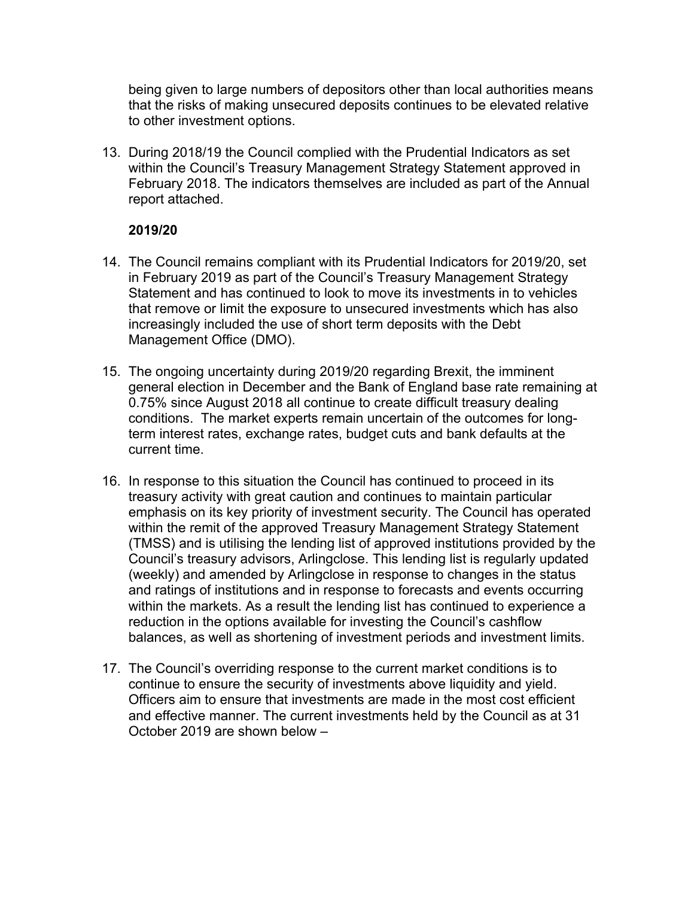being given to large numbers of depositors other than local authorities means that the risks of making unsecured deposits continues to be elevated relative to other investment options.

13. During 2018/19 the Council complied with the Prudential Indicators as set within the Council's Treasury Management Strategy Statement approved in February 2018. The indicators themselves are included as part of the Annual report attached.

# **2019/20**

- 14. The Council remains compliant with its Prudential Indicators for 2019/20, set in February 2019 as part of the Council's Treasury Management Strategy Statement and has continued to look to move its investments in to vehicles that remove or limit the exposure to unsecured investments which has also increasingly included the use of short term deposits with the Debt Management Office (DMO).
- 15. The ongoing uncertainty during 2019/20 regarding Brexit, the imminent general election in December and the Bank of England base rate remaining at 0.75% since August 2018 all continue to create difficult treasury dealing conditions. The market experts remain uncertain of the outcomes for longterm interest rates, exchange rates, budget cuts and bank defaults at the current time.
- 16. In response to this situation the Council has continued to proceed in its treasury activity with great caution and continues to maintain particular emphasis on its key priority of investment security. The Council has operated within the remit of the approved Treasury Management Strategy Statement (TMSS) and is utilising the lending list of approved institutions provided by the Council's treasury advisors, Arlingclose. This lending list is regularly updated (weekly) and amended by Arlingclose in response to changes in the status and ratings of institutions and in response to forecasts and events occurring within the markets. As a result the lending list has continued to experience a reduction in the options available for investing the Council's cashflow balances, as well as shortening of investment periods and investment limits.
- 17. The Council's overriding response to the current market conditions is to continue to ensure the security of investments above liquidity and yield. Officers aim to ensure that investments are made in the most cost efficient and effective manner. The current investments held by the Council as at 31 October 2019 are shown below –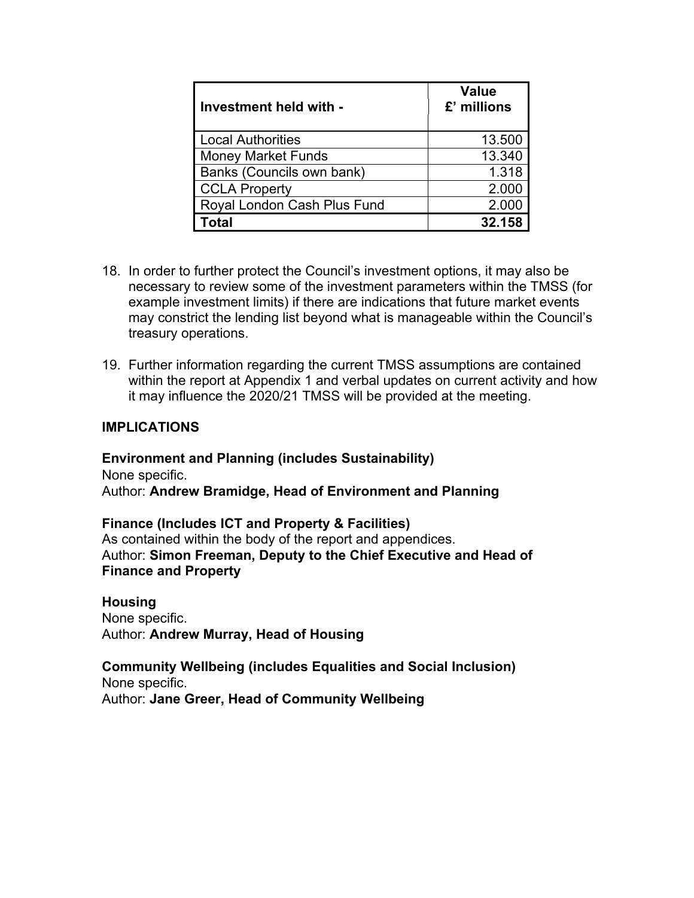| Investment held with -      | <b>Value</b><br>£' millions |
|-----------------------------|-----------------------------|
| <b>Local Authorities</b>    | 13.500                      |
| <b>Money Market Funds</b>   | 13.340                      |
| Banks (Councils own bank)   | 1.318                       |
| <b>CCLA Property</b>        | 2.000                       |
| Royal London Cash Plus Fund | 2.000                       |
| Total                       | 32.158                      |

- 18. In order to further protect the Council's investment options, it may also be necessary to review some of the investment parameters within the TMSS (for example investment limits) if there are indications that future market events may constrict the lending list beyond what is manageable within the Council's treasury operations.
- 19. Further information regarding the current TMSS assumptions are contained within the report at Appendix 1 and verbal updates on current activity and how it may influence the 2020/21 TMSS will be provided at the meeting.

#### **IMPLICATIONS**

**Environment and Planning (includes Sustainability)** None specific. Author: **Andrew Bramidge, Head of Environment and Planning**

**Finance (Includes ICT and Property & Facilities)** As contained within the body of the report and appendices. Author: **Simon Freeman, Deputy to the Chief Executive and Head of Finance and Property**

**Housing** None specific. Author: **Andrew Murray, Head of Housing**

**Community Wellbeing (includes Equalities and Social Inclusion)** None specific. Author: **Jane Greer, Head of Community Wellbeing**